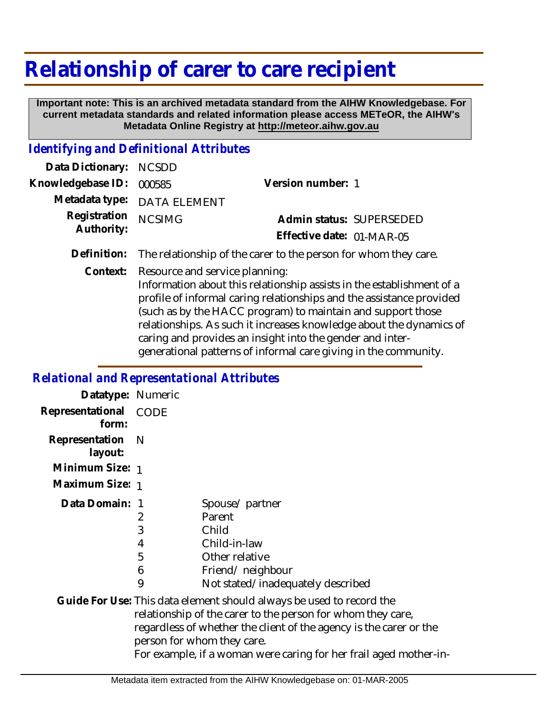## **Relationship of carer to care recipient**

 **Important note: This is an archived metadata standard from the AIHW Knowledgebase. For current metadata standards and related information please access METeOR, the AIHW's Metadata Online Registry at http://meteor.aihw.gov.au**

## *Identifying and Definitional Attributes*

| Data Dictionary: NCSDD            |                                                                           |                           |                          |
|-----------------------------------|---------------------------------------------------------------------------|---------------------------|--------------------------|
| Knowledgebase ID: 000585          |                                                                           | Version number: 1         |                          |
|                                   | Metadata type: DATA ELEMENT                                               |                           |                          |
| Registration NCSIMG<br>Authority: |                                                                           |                           | Admin status: SUPERSEDED |
|                                   |                                                                           | Effective date: 01-MAR-05 |                          |
|                                   | Definition — The militimate of the commute the memory familians there can |                           |                          |

**Definition:** The relationship of the carer to the person for whom they care.

Resource and service planning: **Context:**

> Information about this relationship assists in the establishment of a profile of informal caring relationships and the assistance provided (such as by the HACC program) to maintain and support those relationships. As such it increases knowledge about the dynamics of caring and provides an insight into the gender and intergenerational patterns of informal care giving in the community.

## *Relational and Representational Attributes*

| Datatype: Numeric              |                            |                                                                                                                                                                                                                                                                                                              |
|--------------------------------|----------------------------|--------------------------------------------------------------------------------------------------------------------------------------------------------------------------------------------------------------------------------------------------------------------------------------------------------------|
| Representational CODE<br>form: |                            |                                                                                                                                                                                                                                                                                                              |
| Representation<br>layout:      | - N                        |                                                                                                                                                                                                                                                                                                              |
| Minimum Size: 1                |                            |                                                                                                                                                                                                                                                                                                              |
| Maximum Size: 1                |                            |                                                                                                                                                                                                                                                                                                              |
| Data Domain: 1                 | 2<br>3<br>4<br>5<br>6<br>9 | Spouse/partner<br>Parent<br>Child<br>Child-in-law<br>Other relative<br>Friend/neighbour<br>Not stated/inadequately described                                                                                                                                                                                 |
|                                |                            | Guide For Use: This data element should always be used to record the<br>relationship of the carer to the person for whom they care,<br>regardless of whether the client of the agency is the carer or the<br>person for whom they care.<br>For example, if a woman were caring for her frail aged mother-in- |